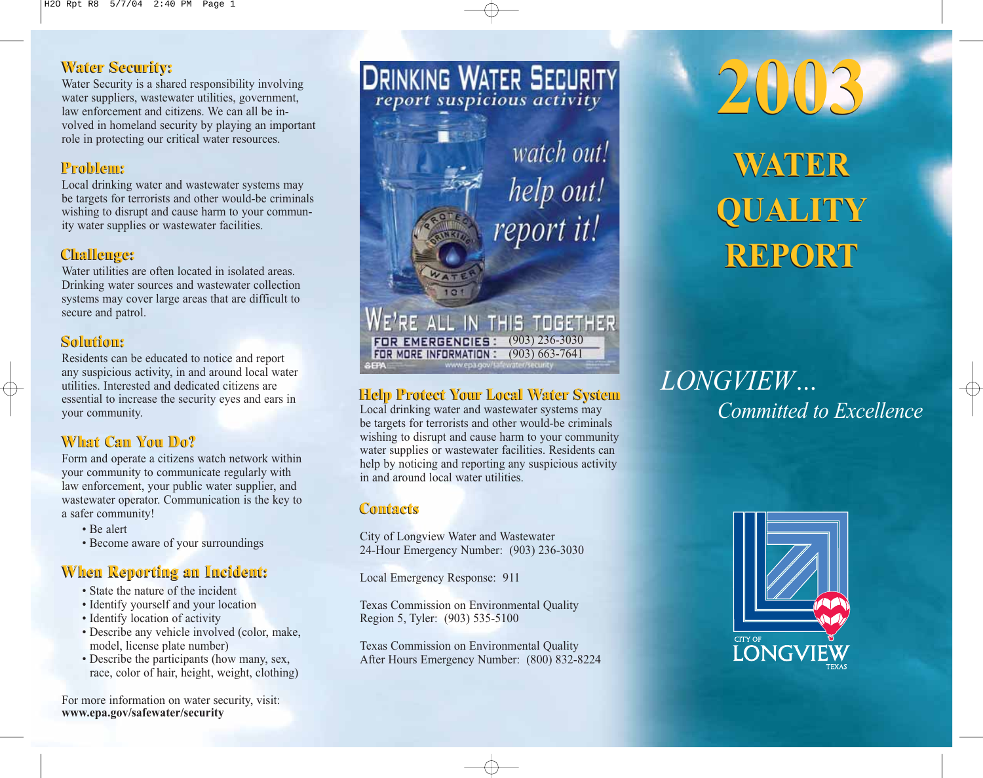# **Water Security: Water Security:**

Water Security is a shared responsibility involving water suppliers, wastewater utilities, government, law enforcement and citizens. We can all be involved in homeland security by playing an important role in protecting our critical water resources.

# **Problem: Problem:**

Local drinking water and wastewater systems may be targets for terrorists and other would-be criminals wishing to disrupt and cause harm to your community water supplies or wastewater facilities.

# **Challenge: Challenge:**

Water utilities are often located in isolated areas. Drinking water sources and wastewater collection systems may cover large areas that are difficult to secure and patrol.

# **Solution: Solution:**

Residents can be educated to notice and report any suspicious activity, in and around local water utilities. Interested and dedicated citizens are essential to increase the security eyes and ears in your community.

# **What Can You Do? What Can You Do?**

Form and operate a citizens watch network within your community to communicate regularly with law enforcement, your public water supplier, and wastewater operator. Communication is the key to a safer community!

- Be alert
- Become aware of your surroundings

# **When Reporting an Incident: When Reporting an Incident:**

- State the nature of the incident
- Identify yourself and your location
- Identify location of activity
- Describe any vehicle involved (color, make, model, license plate number)
- Describe the participants (how many, sex, race, color of hair, height, weight, clothing)

For more information on water security, visit: www.epa.gov/safewater/security



watch out! help out! report it!

#### **FOR MORE INFORMATION: (903) 663-7641 EPA** www.epa.gov/s

WE'RE ALL IN THIS TOGETHER

FOR EMERGENCIES: (903) 236-3030

# **Help Protect Your Local Water System Help Protect Your Local Water System**

Local drinking water and wastewater systems may be targets for terrorists and other would-be criminals wishing to disrupt and cause harm to your community water supplies or wastewater facilities. Residents can help by noticing and reporting any suspicious activity in and around local water utilities.

# **Contacts Contacts**

City of Longview Water and Wastewater 24-Hour Emergency Number: (903) 236-3030

Local Emergency Response: 911

Texas Commission on Environmental Quality Region 5, Tyler: (903) 535-5100

Texas Commission on Environmental Quality After Hours Emergency Number: (800) 832-8224



# LONGVIEW… Committed to Excellence

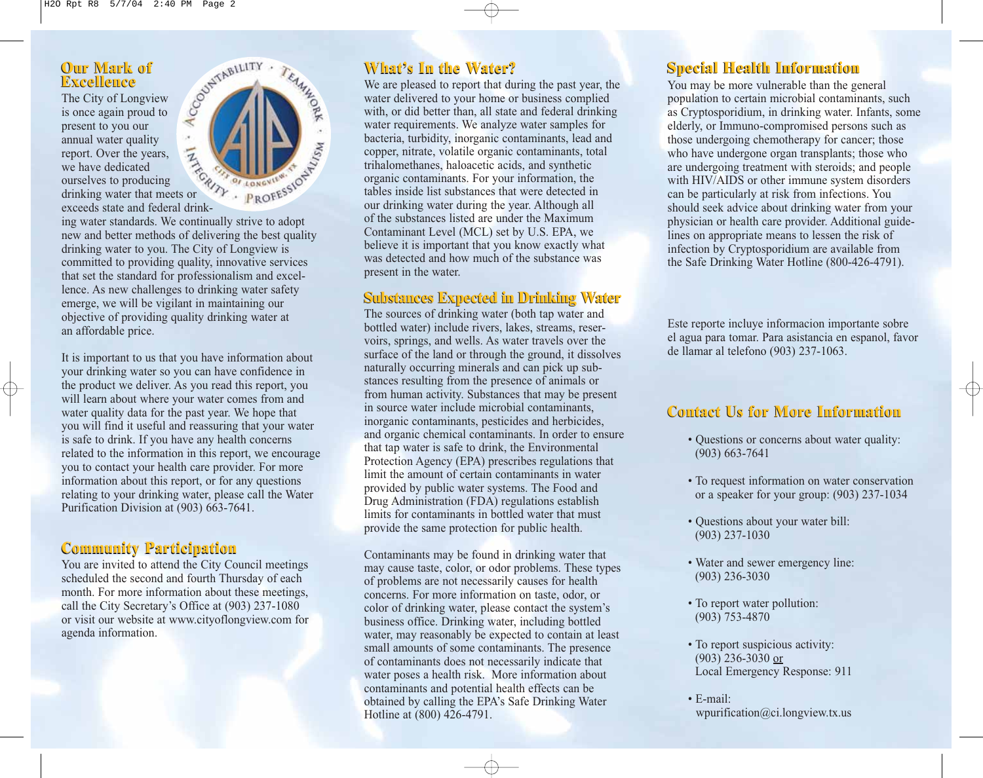#### **Excellence Our Mark of**

The City of Longview is once again proud to present to you our annual water quality report. Over the years, we have dedicated ourselves to producing

exceeds state and federal drinking water standards. We continually strive to adopt

new and better methods of delivering the best quality drinking water to you. The City of Longview is committed to providing quality, innovative services that set the standard for professionalism and excellence. As new challenges to drinking water safety emerge, we will be vigilant in maintaining our objective of providing quality drinking water at an affordable price.

It is important to us that you have information about your drinking water so you can have confidence in the product we deliver. As you read this report, you will learn about where your water comes from and water quality data for the past year. We hope that you will find it useful and reassuring that your water is safe to drink. If you have any health concerns related to the information in this report, we encourage you to contact your health care provider. For more information about this report, or for any questions relating to your drinking water, please call the Water Purification Division at (903) 663-7641.

### **Community Participation Community Participation**

You are invited to attend the City Council meetings scheduled the second and fourth Thursday of each month. For more information about these meetings, call the City Secretary's Office at (903) 237-1080 or visit our website at www.cityoflongview.com for agenda information.



#### **What's In the Water?**

We are pleased to report that during the past year, the water delivered to your home or business complied with, or did better than, all state and federal drinking water requirements. We analyze water samples for bacteria, turbidity, inorganic contaminants, lead and copper, nitrate, volatile organic contaminants, total trihalomethanes, haloacetic acids, and synthetic organic contaminants. For your information, the tables inside list substances that were detected in our drinking water during the year. Although all of the substances listed are under the Maximum Contaminant Level (MCL) set by U.S. EPA, we believe it is important that you know exactly what was detected and how much of the substance was present in the water.

### **Substances Expected in Drinking Water Substances Expected in Drinking Water**

The sources of drinking water (both tap water and bottled water) include rivers, lakes, streams, reservoirs, springs, and wells. As water travels over the surface of the land or through the ground, it dissolves naturally occurring minerals and can pick up substances resulting from the presence of animals or from human activity. Substances that may be present in source water include microbial contaminants, inorganic contaminants, pesticides and herbicides, and organic chemical contaminants. In order to ensure that tap water is safe to drink, the Environmental Protection Agency (EPA) prescribes regulations that limit the amount of certain contaminants in water provided by public water systems. The Food and Drug Administration (FDA) regulations establish limits for contaminants in bottled water that must provide the same protection for public health.

Contaminants may be found in drinking water that may cause taste, color, or odor problems. These types of problems are not necessarily causes for health concerns. For more information on taste, odor, or color of drinking water, please contact the system's business office. Drinking water, including bottled water, may reasonably be expected to contain at least small amounts of some contaminants. The presence of contaminants does not necessarily indicate that water poses a health risk. More information about contaminants and potential health effects can be obtained by calling the EPA's Safe Drinking Water Hotline at (800) 426-4791.

## **Special Health Information Special Health Information**

You may be more vulnerable than the general population to certain microbial contaminants, such as Cryptosporidium, in drinking water. Infants, some elderly, or Immuno-compromised persons such as those undergoing chemotherapy for cancer; those who have undergone organ transplants; those who are undergoing treatment with steroids; and people with HIV/AIDS or other immune system disorders can be particularly at risk from infections. You should seek advice about drinking water from your physician or health care provider. Additional guidelines on appropriate means to lessen the risk of infection by Cryptosporidium are available from the Safe Drinking Water Hotline (800-426-4791).

Este reporte incluye informacion importante sobre el agua para tomar. Para asistancia en espanol, favor de llamar al telefono (903) 237-1063.

# **Contact Us for More Information Contact Us for More Information**

- Questions or concerns about water quality: (903) 663-7641
- To request information on water conservation or a speaker for your group: (903) 237-1034
- Questions about your water bill: (903) 237-1030
- Water and sewer emergency line: (903) 236-3030
- To report water pollution: (903) 753-4870
- To report suspicious activity: (903) 236-3030 or Local Emergency Response: 911
- E-mail: wpurification@ci.longview.tx.us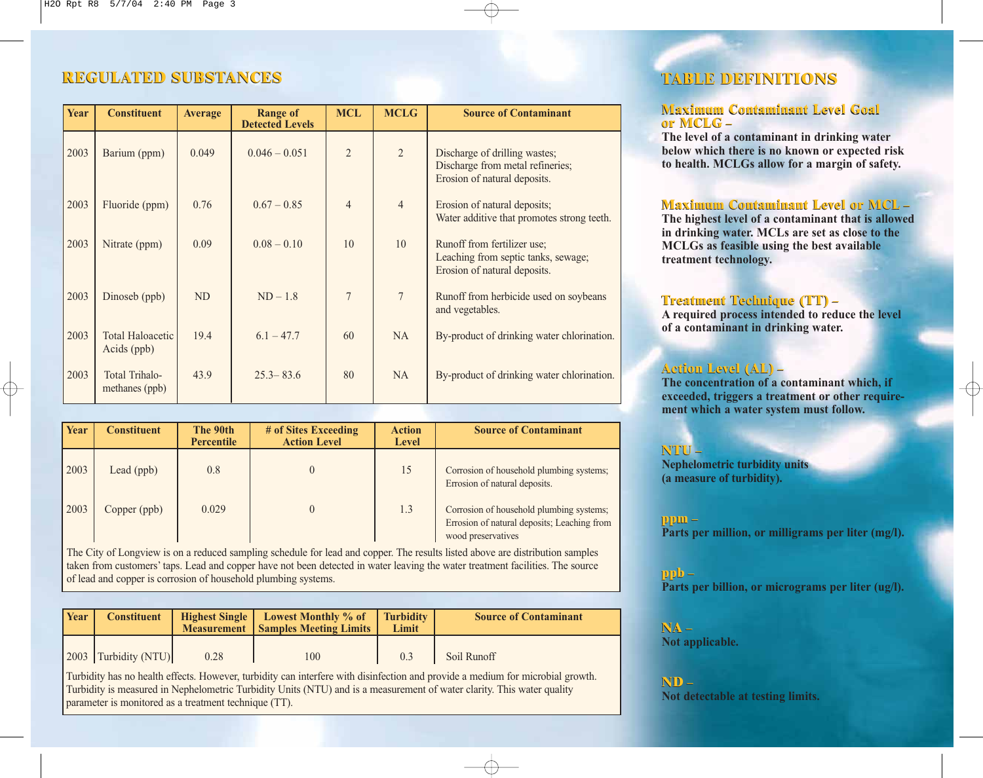### **REGULATED SUBSTANCES REGULATED SUBSTANCES TABLE DEFINITIONS**

| Year | <b>Constituent</b>                     | <b>Average</b> | <b>Range of</b><br><b>Detected Levels</b> | <b>MCL</b>     | <b>MCLG</b>    | <b>Source of Contaminant</b>                                                                       |
|------|----------------------------------------|----------------|-------------------------------------------|----------------|----------------|----------------------------------------------------------------------------------------------------|
| 2003 | Barium (ppm)                           | 0.049          | $0.046 - 0.051$                           | $\overline{2}$ | $\overline{2}$ | Discharge of drilling wastes;<br>Discharge from metal refineries;<br>Erosion of natural deposits.  |
| 2003 | Fluoride (ppm)                         | 0.76           | $0.67 - 0.85$                             | $\overline{4}$ | $\overline{4}$ | Erosion of natural deposits;<br>Water additive that promotes strong teeth.                         |
| 2003 | Nitrate (ppm)                          | 0.09           | $0.08 - 0.10$                             | 10             | 10             | Runoff from fertilizer use;<br>Leaching from septic tanks, sewage;<br>Erosion of natural deposits. |
| 2003 | Dinoseb (ppb)                          | <b>ND</b>      | $ND - 1.8$                                | $\overline{7}$ | $\overline{7}$ | Runoff from herbicide used on soybeans<br>and vegetables.                                          |
| 2003 | <b>Total Haloacetic</b><br>Acids (ppb) | 19.4           | $6.1 - 47.7$                              | 60             | NA             | By-product of drinking water chlorination.                                                         |
| 2003 | Total Trihalo-<br>methanes (ppb)       | 43.9           | $25.3 - 83.6$                             | 80             | <b>NA</b>      | By-product of drinking water chlorination.                                                         |

| <b>Year</b> | <b>Constituent</b> | The 90th          | # of Sites Exceeding | <b>Action</b> | <b>Source of Contaminant</b>                                                                                  |
|-------------|--------------------|-------------------|----------------------|---------------|---------------------------------------------------------------------------------------------------------------|
|             |                    | <b>Percentile</b> | <b>Action Level</b>  | <b>Level</b>  |                                                                                                               |
| 2003        | Lead $(ppb)$       | 0.8               |                      | 15            | Corrosion of household plumbing systems;<br>Errosion of natural deposits.                                     |
| 2003        | Copper (ppb)       | 0.029             |                      | 1.3           | Corrosion of household plumbing systems;<br>Errosion of natural deposits; Leaching from<br>wood preservatives |

The City of Longview is on a reduced sampling schedule for lead and copper. The results listed above are distribution samples taken from customers' taps. Lead and copper have not been detected in water leaving the water treatment facilities. The source of lead and copper is corrosion of household plumbing systems.

| Year | <b>Constituent</b>     | <b>Measurement</b> | <b>Highest Single   Lowest Monthly % of</b><br><b>Samples Meeting Limits</b> | <b>Turbidity</b><br>Limit | <b>Source of Contaminant</b> |
|------|------------------------|--------------------|------------------------------------------------------------------------------|---------------------------|------------------------------|
|      | [2003 Turbidity (NTU)] | 0.28               | 100                                                                          | 0.3                       | Soil Runoff                  |

Turbidity has no health effects. However, turbidity can interfere with disinfection and provide a medium for microbial growth. Turbidity is measured in Nephelometric Turbidity Units (NTU) and is a measurement of water clarity. This water quality parameter is monitored as a treatment technique (TT).

### **TABLE DEFINITIONS**

#### **Maximum Contaminant Level Goal Maximum Contaminant Level Goal or MCLG** – **or MCLG** –

The level of a contaminant in drinking water below which there is no known or expected risk to health. MCLGs allow for a margin of safety.

#### **Maximum Contaminant Level or MCL** – **Maximum Level or MCL** –

The highest level of a contaminant that is allowed in drinking water. MCLs are set as close to the MCLGs as feasible using the best available treatment technology.

#### **Treatment Technique (TT)** – **Treatment Technique (TT)** –

A required process intended to reduce the level of a contaminant in drinking water.

#### **Action Level (AL)** – **Action Level (AL)** –

The concentration of a contaminant which, if exceeded, triggers a treatment or other requirement which a water system must follow.

#### **NTU** – **NTU** – Nephelometric turbidity units (a measure of turbidity).

**ppm** – **ppm** – Parts per million, or milligrams per liter (mg/l).

#### **ppb** – **ppb** – Parts per billion, or micrograms per liter (ug/l).

**NA** – **NA** – Not applicable.

**ND** – **ND** – Not detectable at testing limits.